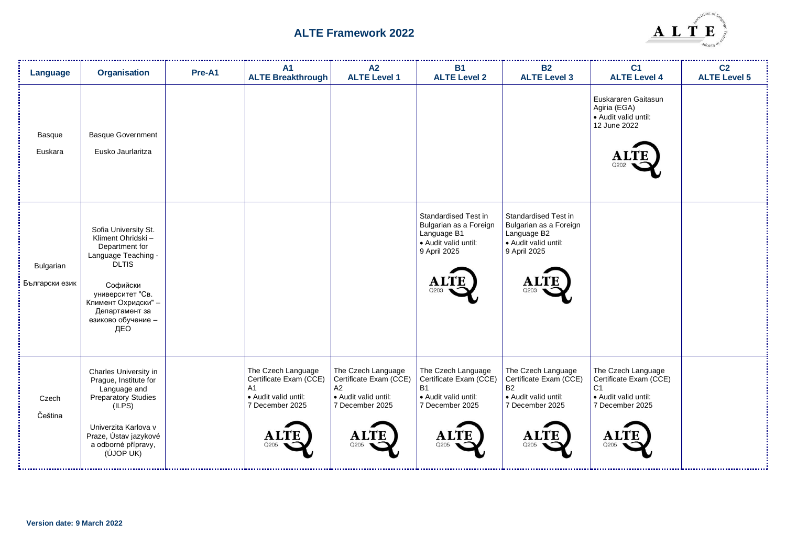

| Language                    | <b>Organisation</b>                                                                                                                                                                                       | Pre-A1 | A <sub>1</sub><br><b>ALTE Breakthrough</b>                                                                              | A2<br><b>ALTE Level 1</b>                                                                                   | <b>B1</b><br><b>ALTE Level 2</b>                                                                             | <b>B2</b><br><b>ALTE Level 3</b>                                                                                  | C <sub>1</sub><br><b>ALTE Level 4</b>                                                                             | C <sub>2</sub><br><b>ALTE Level 5</b> |
|-----------------------------|-----------------------------------------------------------------------------------------------------------------------------------------------------------------------------------------------------------|--------|-------------------------------------------------------------------------------------------------------------------------|-------------------------------------------------------------------------------------------------------------|--------------------------------------------------------------------------------------------------------------|-------------------------------------------------------------------------------------------------------------------|-------------------------------------------------------------------------------------------------------------------|---------------------------------------|
| Basque<br>Euskara           | <b>Basque Government</b><br>Eusko Jaurlaritza                                                                                                                                                             |        |                                                                                                                         |                                                                                                             |                                                                                                              |                                                                                                                   | Euskararen Gaitasun<br>Agiria (EGA)<br>· Audit valid until:<br>12 June 2022                                       |                                       |
| Bulgarian<br>Български език | Sofia University St.<br>Kliment Ohridski -<br>Department for<br>Language Teaching -<br><b>DLTIS</b><br>Софийски<br>университет "Св.<br>Климент Охридски" -<br>Департамент за<br>езиково обучение -<br>ДЕО |        |                                                                                                                         |                                                                                                             | Standardised Test in<br>Bulgarian as a Foreign<br>Language B1<br>• Audit valid until:<br>9 April 2025        | Standardised Test in<br>Bulgarian as a Foreign<br>Language B2<br>· Audit valid until:<br>9 April 2025<br>Q203     |                                                                                                                   |                                       |
| Czech<br>Čeština            | Charles University in<br>Prague, Institute for<br>Language and<br>Preparatory Studies<br>(ILPS)<br>Univerzita Karlova v<br>Praze, Ústav jazykové<br>a odborné přípravy,<br>(ÚJOP UK)                      |        | The Czech Language<br>Certificate Exam (CCE)<br>A <sub>1</sub><br>· Audit valid until:<br>7 December 2025<br>Al<br>Q205 | The Czech Language<br>Certificate Exam (CCE)<br>A2<br>• Audit valid until:<br>7 December 2025<br>A.<br>Q205 | The Czech Language<br>Certificate Exam (CCE)<br><b>B1</b><br>• Audit valid until:<br>7 December 2025<br>Q205 | The Czech Language<br>Certificate Exam (CCE)<br><b>B2</b><br>· Audit valid until:<br>7 December 2025<br>A<br>Q205 | The Czech Language<br>Certificate Exam (CCE)<br>C <sub>1</sub><br>· Audit valid until:<br>7 December 2025<br>Q205 |                                       |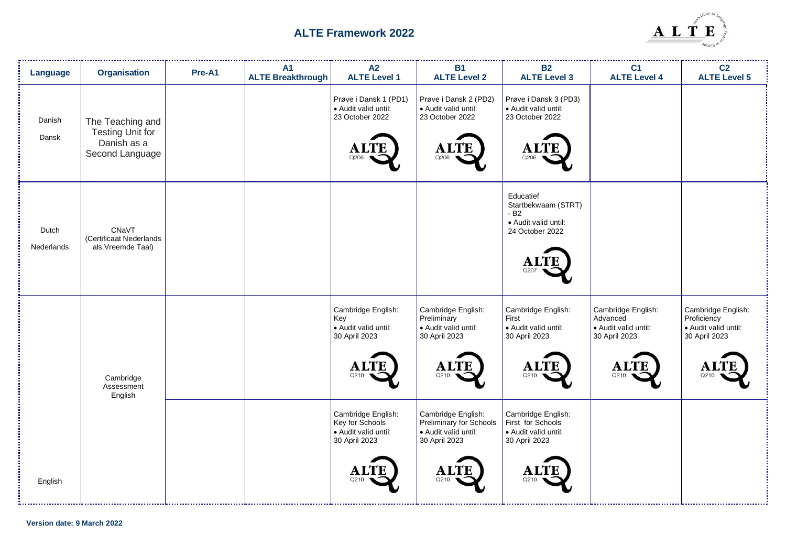

| Language            | <b>Organisation</b>                                                           | Pre-A1 | A1<br><b>ALTE Breakthrough</b> | A2<br><b>ALTE Level 1</b>                                                              | <b>B1</b><br><b>ALTE Level 2</b>                                                                     | <b>B2</b><br><b>ALTE Level 3</b>                                                         | C <sub>1</sub><br><b>ALTE Level 4</b>                                         | C <sub>2</sub><br><b>ALTE Level 5</b>                                      |
|---------------------|-------------------------------------------------------------------------------|--------|--------------------------------|----------------------------------------------------------------------------------------|------------------------------------------------------------------------------------------------------|------------------------------------------------------------------------------------------|-------------------------------------------------------------------------------|----------------------------------------------------------------------------|
| Danish<br>Dansk     | The Teaching and<br><b>Testing Unit for</b><br>Danish as a<br>Second Language |        |                                | Prøve i Dansk 1 (PD1)<br>· Audit valid until:<br>23 October 2022<br>റാറല               | Prøve i Dansk 2 (PD2)<br>· Audit valid until:<br>23 October 2022<br>Q206                             | Prøve i Dansk 3 (PD3)<br>· Audit valid until:<br>23 October 2022<br>A.<br>Q206           |                                                                               |                                                                            |
| Dutch<br>Nederlands | CNaVT<br>(Certificaat Nederlands<br>als Vreemde Taal)                         |        |                                |                                                                                        |                                                                                                      | Educatief<br>Startbekwaam (STRT)<br>$-B2$<br>· Audit valid until:<br>24 October 2022     |                                                                               |                                                                            |
|                     | Cambridge<br>Assessment<br>English                                            |        |                                | Cambridge English:<br>Key<br>· Audit valid until:<br>30 April 2023                     | Cambridge English:<br>Preliminary<br>· Audit valid until:<br>30 April 2023<br>Q210                   | Cambridge English:<br>First<br>· Audit valid until:<br>30 April 2023<br>O21C             | Cambridge English:<br>Advanced<br>Audit valid until:<br>30 April 2023<br>0210 | Cambridge English:<br>Proficiency<br>· Audit valid until:<br>30 April 2023 |
| English             |                                                                               |        |                                | Cambridge English:<br>Key for Schools<br>· Audit valid until:<br>30 April 2023<br>Q210 | Cambridge English:<br>Preliminary for Schools<br>· Audit valid until:<br>30 April 2023<br>Al<br>Q210 | Cambridge English:<br>First for Schools<br>· Audit valid until:<br>30 April 2023<br>Q21C |                                                                               |                                                                            |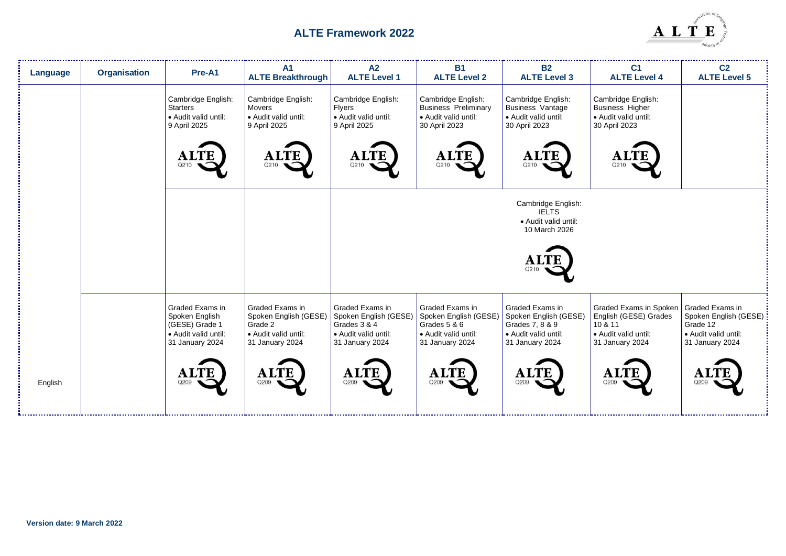

| Language | <b>Organisation</b> | Pre-A1                                                                                         | A <sub>1</sub><br><b>ALTE Breakthrough</b>                                                     | A2<br><b>ALTE Level 1</b>                                                                                  | <b>B1</b><br><b>ALTE Level 2</b>                                                                    | <b>B2</b><br><b>ALTE Level 3</b>                                                                       | C <sub>1</sub><br><b>ALTE Level 4</b>                                                                 | C <sub>2</sub><br><b>ALTE Level 5</b>                                                           |
|----------|---------------------|------------------------------------------------------------------------------------------------|------------------------------------------------------------------------------------------------|------------------------------------------------------------------------------------------------------------|-----------------------------------------------------------------------------------------------------|--------------------------------------------------------------------------------------------------------|-------------------------------------------------------------------------------------------------------|-------------------------------------------------------------------------------------------------|
|          |                     | Cambridge English:<br><b>Starters</b><br>· Audit valid until:<br>9 April 2025                  | Cambridge English:<br>Movers<br>• Audit valid until:<br>9 April 2025                           | Cambridge English:<br><b>Flyers</b><br>· Audit valid until:<br>9 April 2025                                | Cambridge English:<br><b>Business Preliminary</b><br>· Audit valid until:<br>30 April 2023          | Cambridge English:<br><b>Business Vantage</b><br>· Audit valid until:<br>30 April 2023                 | Cambridge English:<br><b>Business Higher</b><br>· Audit valid until:<br>30 April 2023                 |                                                                                                 |
|          |                     | ALTE<br>Q210                                                                                   | <b>ALTE</b><br>Q210                                                                            | <b>ALTE</b><br>Q210                                                                                        | <b>ALTE</b><br>Q210                                                                                 | <b>ALTE</b><br>Q210                                                                                    | Q210                                                                                                  |                                                                                                 |
|          |                     |                                                                                                |                                                                                                |                                                                                                            |                                                                                                     | Cambridge English:<br><b>IELTS</b><br>· Audit valid until:<br>10 March 2026                            |                                                                                                       |                                                                                                 |
|          |                     |                                                                                                |                                                                                                |                                                                                                            |                                                                                                     | Q210                                                                                                   |                                                                                                       |                                                                                                 |
|          |                     | Graded Exams in<br>Spoken English<br>(GESE) Grade 1<br>• Audit valid until:<br>31 January 2024 | Graded Exams in<br>Spoken English (GESE)<br>Grade 2<br>• Audit valid until:<br>31 January 2024 | <b>Graded Exams in</b><br>Spoken English (GESE)<br>Grades 3 & 4<br>• Audit valid until:<br>31 January 2024 | Graded Exams in<br>Spoken English (GESE)<br>Grades 5 & 6<br>• Audit valid until:<br>31 January 2024 | Graded Exams in<br>Spoken English (GESE)<br>Grades 7, 8 & 9<br>• Audit valid until:<br>31 January 2024 | Graded Exams in Spoken<br>English (GESE) Grades<br>10 & 11<br>• Audit valid until:<br>31 January 2024 | Graded Exams in<br>Spoken English (GESE) :<br>Grade 12<br>Audit valid until:<br>31 January 2024 |
| English  |                     | <b>ALTE</b><br>Q209                                                                            | <b>ALTE</b><br>Q209                                                                            | <b>ALTE</b><br>Q209                                                                                        | <b>ALTE</b><br>Q209                                                                                 | <b>ALTE</b><br>Q209                                                                                    | <b>ALTE</b><br>Q209                                                                                   | Αl<br>Q209                                                                                      |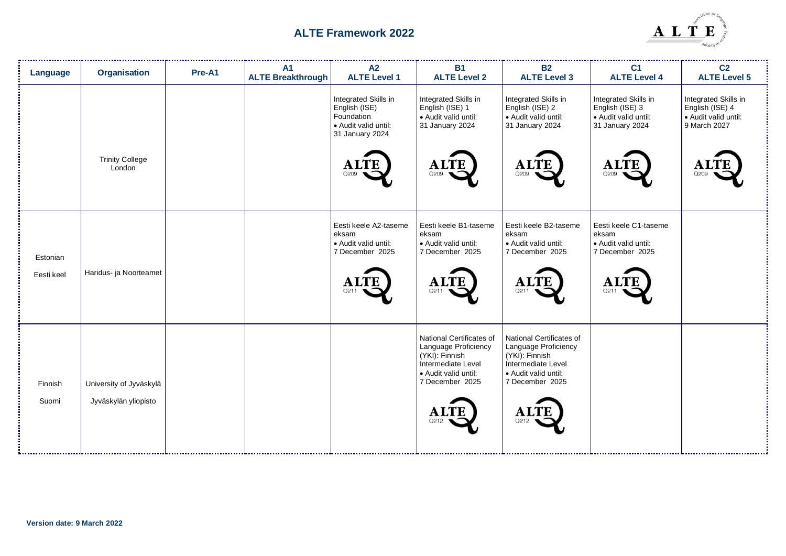

| Language               | <b>Organisation</b>                             | Pre-A1 | A <sub>1</sub><br><b>ALTE Breakthrough</b> | A2<br><b>ALTE Level 1</b>                                                                                  | <b>B1</b><br><b>ALTE Level 2</b>                                                                                                                           | <b>B2</b><br><b>ALTE Level 3</b>                                                                                                                           | C <sub>1</sub><br><b>ALTE Level 4</b>                                                             | C <sub>2</sub><br><b>ALTE Level 5</b>                                                  |
|------------------------|-------------------------------------------------|--------|--------------------------------------------|------------------------------------------------------------------------------------------------------------|------------------------------------------------------------------------------------------------------------------------------------------------------------|------------------------------------------------------------------------------------------------------------------------------------------------------------|---------------------------------------------------------------------------------------------------|----------------------------------------------------------------------------------------|
|                        | <b>Trinity College</b><br>London                |        |                                            | Integrated Skills in<br>English (ISE)<br>Foundation<br>Audit valid until:<br>31 January 2024<br>AL<br>Q209 | Integrated Skills in<br>English (ISE) 1<br>· Audit valid until:<br>31 January 2024<br><b>ALTE</b><br>Q209                                                  | Integrated Skills in<br>English (ISE) 2<br>· Audit valid until:<br>31 January 2024<br><b>ALTE</b><br>Q209                                                  | Integrated Skills in<br>English (ISE) 3<br>· Audit valid until:<br>31 January 2024<br>A1<br>Q209  | Integrated Skills in<br>English (ISE) 4<br>• Audit valid until:<br>9 March 2027<br>Q20 |
| Estonian<br>Eesti keel | Haridus- ja Noorteamet                          |        |                                            | Eesti keele A2-taseme<br>eksam<br>· Audit valid until:<br>7 December 2025<br><b>ALTE</b>                   | Eesti keele B1-taseme<br>eksam<br>· Audit valid until:<br>7 December 2025<br><b>ALTE</b><br>Q211                                                           | Eesti keele B2-taseme<br>eksam<br>· Audit valid until:<br>7 December 2025<br><b>ALTE</b><br>Q211                                                           | Eesti keele C1-taseme<br>eksam<br>• Audit valid until:<br>7 December 2025<br>$\mathbf{A}$<br>Q211 |                                                                                        |
| Finnish<br>Suomi       | University of Jyväskylä<br>Jyväskylän yliopisto |        |                                            |                                                                                                            | National Certificates of<br>Language Proficiency<br>(YKI): Finnish<br>Intermediate Level<br>· Audit valid until:<br>7 December 2025<br><b>ALTE</b><br>Q212 | National Certificates of<br>Language Proficiency<br>(YKI): Finnish<br>Intermediate Level<br>· Audit valid until:<br>7 December 2025<br><b>ALTI</b><br>Q212 |                                                                                                   |                                                                                        |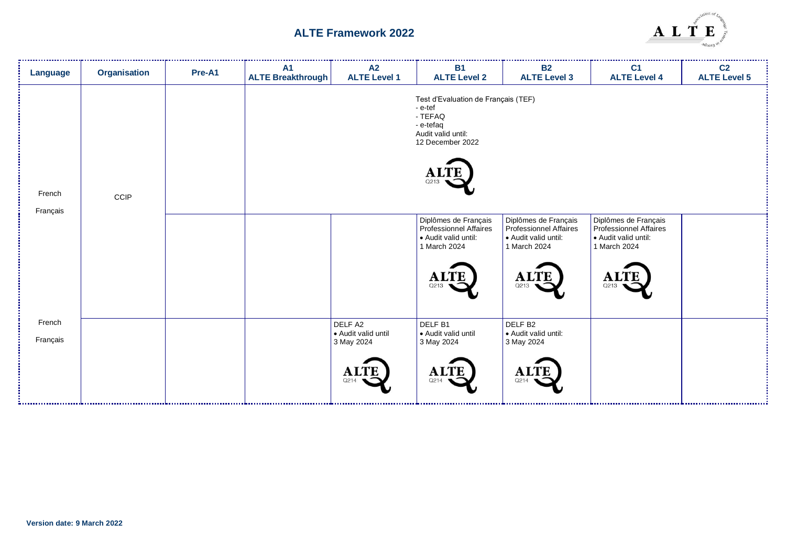

| Language           | Organisation | Pre-A1 | <b>A1</b><br><b>ALTE Breakthrough</b> | A2<br><b>ALTE Level 1</b>                                           | <b>B1</b><br><b>ALTE Level 2</b>                                                                                               | <b>B2</b><br><b>ALTE Level 3</b>                                                                                     | C <sub>1</sub><br><b>ALTE Level 4</b>                                                             | C <sub>2</sub><br><b>ALTE Level 5</b> |
|--------------------|--------------|--------|---------------------------------------|---------------------------------------------------------------------|--------------------------------------------------------------------------------------------------------------------------------|----------------------------------------------------------------------------------------------------------------------|---------------------------------------------------------------------------------------------------|---------------------------------------|
| French<br>Français | CCIP         |        |                                       |                                                                     | Test d'Evaluation de Français (TEF)<br>- e-tef<br>- TEFAQ<br>- e-tefaq<br>Audit valid until:<br>12 December 2022<br>A.<br>Q213 |                                                                                                                      |                                                                                                   |                                       |
|                    |              |        |                                       |                                                                     | Diplômes de Français<br>Professionnel Affaires<br>· Audit valid until:<br>1 March 2024<br><b>ALTE</b><br>Q213                  | Diplômes de Français<br><b>Professionnel Affaires</b><br>· Audit valid until:<br>1 March 2024<br><b>ALTE</b><br>Q213 | Diplômes de Français<br>Professionnel Affaires<br>Audit valid until:<br>1 March 2024<br>A<br>Q213 |                                       |
| French<br>Français |              |        |                                       | DELF A2<br>· Audit valid until<br>3 May 2024<br><b>ALTE</b><br>Q214 | DELF <sub>B1</sub><br>· Audit valid until<br>3 May 2024<br><b>ALTE</b><br>Q214                                                 | DELF <sub>B2</sub><br>· Audit valid until:<br>3 May 2024<br><b>ALTE</b><br>Q214                                      |                                                                                                   |                                       |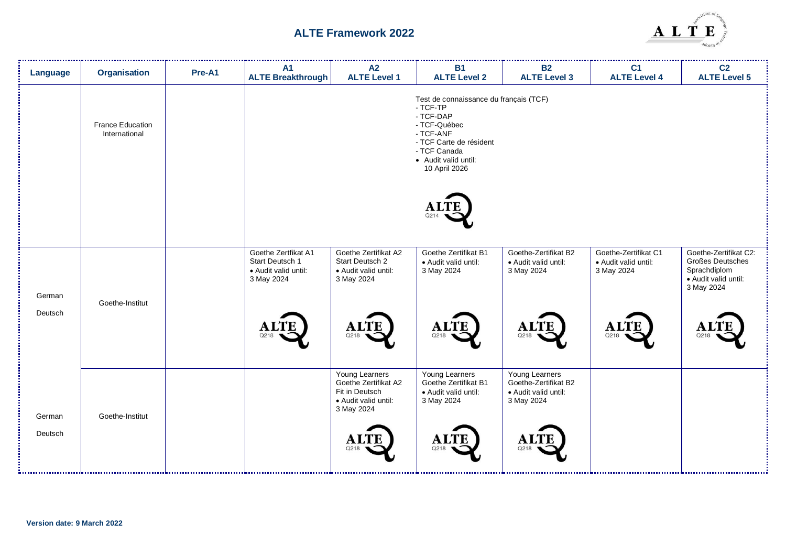

| Language | <b>Organisation</b>                      | Pre-A1 | <b>A1</b><br><b>ALTE Breakthrough</b>                                        | A2<br><b>ALTE Level 1</b>                                                                      | <b>B1</b><br><b>ALTE Level 2</b>                                                                                                                                                 | <b>B2</b><br><b>ALTE Level 3</b>                                             | C <sub>1</sub><br><b>ALTE Level 4</b>                      | C <sub>2</sub><br><b>ALTE Level 5</b>                                                           |
|----------|------------------------------------------|--------|------------------------------------------------------------------------------|------------------------------------------------------------------------------------------------|----------------------------------------------------------------------------------------------------------------------------------------------------------------------------------|------------------------------------------------------------------------------|------------------------------------------------------------|-------------------------------------------------------------------------------------------------|
|          | <b>France Education</b><br>International |        |                                                                              |                                                                                                | Test de connaissance du français (TCF)<br>- TCF-TP<br>- TCF-DAP<br>- TCF-Québec<br>- TCF-ANF<br>- TCF Carte de résident<br>- TCF Canada<br>• Audit valid until:<br>10 April 2026 |                                                                              |                                                            |                                                                                                 |
|          |                                          |        |                                                                              |                                                                                                | O214                                                                                                                                                                             |                                                                              |                                                            |                                                                                                 |
| German   | Goethe-Institut                          |        | Goethe Zertfikat A1<br>Start Deutsch 1<br>• Audit valid until:<br>3 May 2024 | Goethe Zertifikat A2<br>Start Deutsch 2<br>• Audit valid until:<br>3 May 2024                  | Goethe Zertifikat B1<br>· Audit valid until:<br>3 May 2024                                                                                                                       | Goethe-Zertifikat B2<br>· Audit valid until:<br>3 May 2024                   | Goethe-Zertifikat C1<br>· Audit valid until:<br>3 May 2024 | Goethe-Zertifikat C2:<br>Großes Deutsches<br>Sprachdiplom<br>· Audit valid until:<br>3 May 2024 |
| Deutsch  |                                          |        | <b>ALTE</b><br>Q218                                                          | <b>ALTE</b><br>Q218                                                                            | <b>ALTE</b><br>Q218                                                                                                                                                              | <b>ALTE</b><br>Q218                                                          | <b>ALTE</b><br>Q218                                        | ALTI<br>Q218                                                                                    |
| German   | Goethe-Institut                          |        |                                                                              | Young Learners<br>Goethe Zertifikat A2<br>Fit in Deutsch<br>• Audit valid until:<br>3 May 2024 | Young Learners<br>Goethe Zertifikat B1<br>· Audit valid until:<br>3 May 2024                                                                                                     | Young Learners<br>Goethe-Zertifikat B2<br>· Audit valid until:<br>3 May 2024 |                                                            |                                                                                                 |
| Deutsch  |                                          |        |                                                                              | <b>ALTE</b><br>Q218                                                                            | <b>ALTE</b><br>Q218                                                                                                                                                              | <b>ALTE</b><br>Q218                                                          |                                                            |                                                                                                 |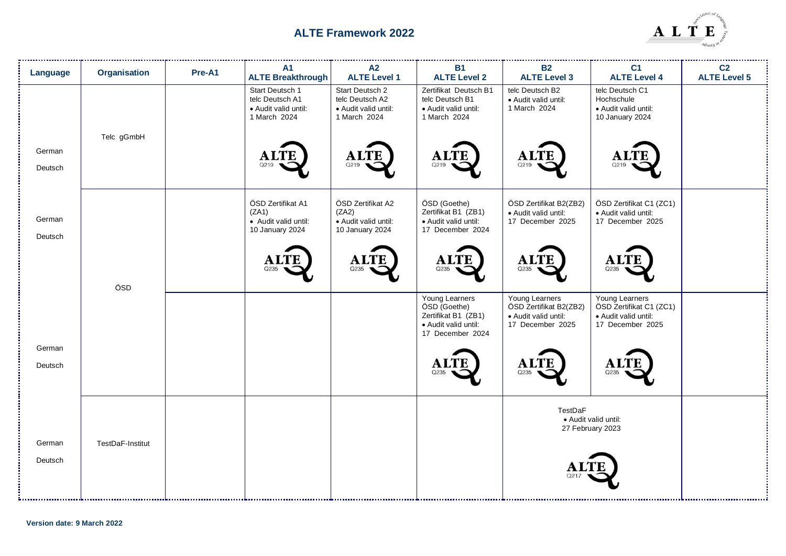

| Language          | <b>Organisation</b> | Pre-A1 | <b>A1</b><br><b>ALTE Breakthrough</b>                                      | A2<br><b>ALTE Level 1</b>                                                  | <b>B1</b><br><b>ALTE Level 2</b>                                                                  | <b>B2</b><br><b>ALTE Level 3</b>                                                     | C <sub>1</sub><br><b>ALTE Level 4</b>                                                 | C <sub>2</sub><br><b>ALTE Level 5</b> |
|-------------------|---------------------|--------|----------------------------------------------------------------------------|----------------------------------------------------------------------------|---------------------------------------------------------------------------------------------------|--------------------------------------------------------------------------------------|---------------------------------------------------------------------------------------|---------------------------------------|
|                   | Telc gGmbH          |        | Start Deutsch 1<br>telc Deutsch A1<br>· Audit valid until:<br>1 March 2024 | Start Deutsch 2<br>telc Deutsch A2<br>• Audit valid until:<br>1 March 2024 | Zertifikat Deutsch B1<br>telc Deutsch B1<br>• Audit valid until:<br>1 March 2024                  | telc Deutsch B2<br>· Audit valid until:<br>1 March 2024                              | telc Deutsch C1<br>Hochschule<br>· Audit valid until:<br>10 January 2024              |                                       |
| German<br>Deutsch |                     |        | A)<br>Q219                                                                 | <b>ALTE</b><br>Q219                                                        | <b>ALTE</b><br>Q219                                                                               | <b>ALTE</b><br>Q219                                                                  |                                                                                       |                                       |
| German<br>Deutsch |                     |        | ÖSD Zertifikat A1<br>(ZA1)<br>• Audit valid until:<br>10 January 2024      | ÖSD Zertifikat A2<br>(ZA2)<br>· Audit valid until:<br>10 January 2024      | ÖSD (Goethe)<br>Zertifikat B1 (ZB1)<br>• Audit valid until:<br>17 December 2024                   | ÖSD Zertifikat B2(ZB2)<br>· Audit valid until:<br>17 December 2025                   | ÖSD Zertifikat C1 (ZC1)<br>· Audit valid until:<br>17 December 2025                   |                                       |
|                   | ÖSD                 |        | ${\bf A}1$                                                                 | <b>ALTE</b><br>O235                                                        | <b>ALTE</b><br>Q235                                                                               | <b>ALTE</b><br>Q235                                                                  | A<br>Q235                                                                             |                                       |
|                   |                     |        |                                                                            |                                                                            | Young Learners<br>ÖSD (Goethe)<br>Zertifikat B1 (ZB1)<br>· Audit valid until:<br>17 December 2024 | Young Learners<br>ÖSD Zertifikat B2(ZB2)<br>· Audit valid until:<br>17 December 2025 | Young Learners<br>ÖSD Zertifikat C1 (ZC1)<br>· Audit valid until:<br>17 December 2025 |                                       |
| German<br>Deutsch |                     |        |                                                                            |                                                                            | Q235                                                                                              | A)<br>Q235                                                                           | Q235                                                                                  |                                       |
| German            | TestDaF-Institut    |        |                                                                            |                                                                            |                                                                                                   | TestDaF                                                                              | · Audit valid until:<br>27 February 2023                                              |                                       |
| Deutsch           |                     |        |                                                                            |                                                                            |                                                                                                   |                                                                                      |                                                                                       |                                       |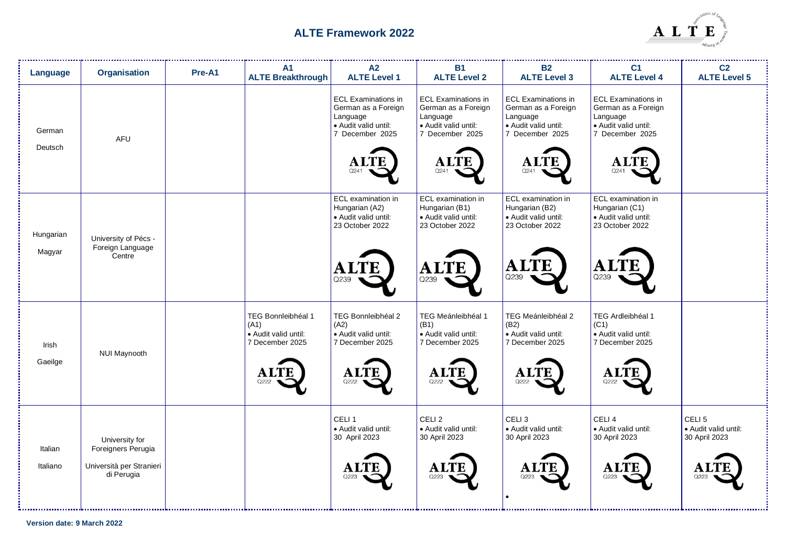

| Language            | <b>Organisation</b>                                                            | Pre-A1 | <b>A1</b><br><b>ALTE Breakthrough</b>                                               | A2<br><b>ALTE Level 1</b>                                                                                                | <b>B1</b><br><b>ALTE Level 2</b>                                                                                 | <b>B2</b><br><b>ALTE Level 3</b>                                                                                       | C <sub>1</sub><br><b>ALTE Level 4</b>                                                                                   | C <sub>2</sub><br><b>ALTE Level 5</b>                              |
|---------------------|--------------------------------------------------------------------------------|--------|-------------------------------------------------------------------------------------|--------------------------------------------------------------------------------------------------------------------------|------------------------------------------------------------------------------------------------------------------|------------------------------------------------------------------------------------------------------------------------|-------------------------------------------------------------------------------------------------------------------------|--------------------------------------------------------------------|
| German<br>Deutsch   | <b>AFU</b>                                                                     |        |                                                                                     | <b>ECL Examinations in</b><br>German as a Foreign<br>Language<br>• Audit valid until:<br>7 December 2025<br>ALTE<br>Q241 | <b>ECL Examinations in</b><br>German as a Foreign<br>Language<br>· Audit valid until:<br>7 December 2025<br>Q241 | <b>ECL Examinations in</b><br>German as a Foreign<br>Language<br>· Audit valid until:<br>7 December 2025<br>A.<br>Q241 | <b>ECL Examinations in</b><br>German as a Foreign<br>Language<br>• Audit valid until:<br>7 December 2025<br>ALT<br>Q241 |                                                                    |
| Hungarian<br>Magyar | University of Pécs -<br>Foreign Language<br>Centre                             |        |                                                                                     | ECL examination in<br>Hungarian (A2)<br>• Audit valid until:<br>23 October 2022<br>'B<br>Q239                            | ECL examination in<br>Hungarian (B1)<br>• Audit valid until:<br>23 October 2022<br><b>TE</b><br>A<br>Q239        | ECL examination in<br>Hungarian (B2)<br>• Audit valid until:<br>23 October 2022<br>LTE<br>A l<br>Q239                  | ECL examination in<br>Hungarian (C1)<br>· Audit valid until:<br>23 October 2022<br>Al<br>Q239                           |                                                                    |
| Irish<br>Gaeilge    | NUI Maynooth                                                                   |        | TEG Bonnleibhéal 1<br>(A1)<br>• Audit valid until:<br>7 December 2025<br>AĽ<br>Q222 | TEG Bonnleibhéal 2<br>(A2)<br>• Audit valid until:<br>7 December 2025<br><b>ALTE</b><br>Q222                             | TEG Meánleibhéal 1<br>(B1)<br>• Audit valid until:<br>7 December 2025<br><b>ALTE</b><br>Q222                     | TEG Meánleibhéal 2<br>(B2)<br>• Audit valid until:<br>7 December 2025<br><b>ALTI</b><br>Q222                           | TEG Ardleibhéal 1<br>(C1)<br>• Audit valid until:<br>7 December 2025<br>A.<br>Q222                                      |                                                                    |
| Italian<br>Italiano | University for<br>Foreigners Perugia<br>Università per Stranieri<br>di Perugia |        |                                                                                     | CELI <sub>1</sub><br>· Audit valid until:<br>30 April 2023                                                               | CELI <sub>2</sub><br>· Audit valid until:<br>30 April 2023<br>Al<br>Q223                                         | CELI <sub>3</sub><br>· Audit valid until:<br>30 April 2023<br>A.<br>Q223                                               | CELI <sub>4</sub><br>· Audit valid until:<br>30 April 2023<br>A<br>Q223                                                 | CELI <sub>5</sub><br>· Audit valid until:<br>30 April 2023<br>Q223 |

**Version date: 9 March 2022**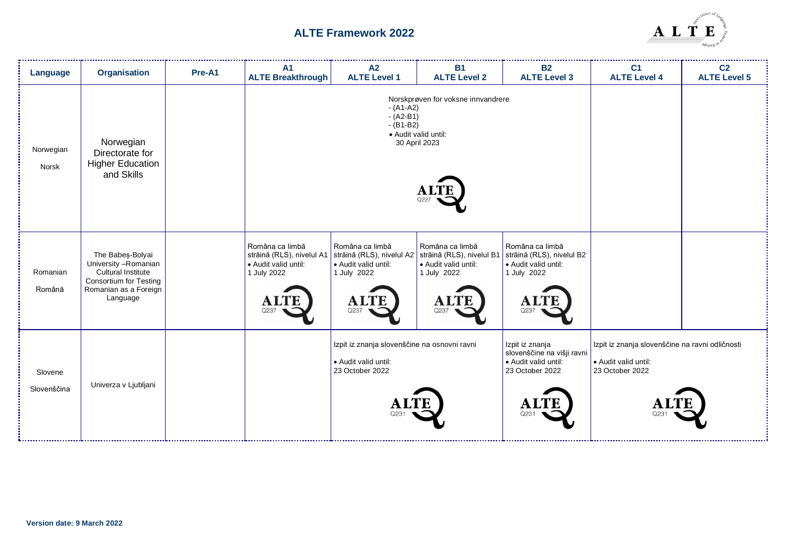

| Language               | <b>Organisation</b>                                                                                                                          | Pre-A1 | A <sub>1</sub><br><b>ALTE Breakthrough</b>                         | A2<br><b>ALTE Level 1</b>                                                                                                                                          | <b>B1</b><br><b>ALTE Level 2</b>                                            | <b>B2</b><br><b>ALTE Level 3</b>                                                                               | C <sub>1</sub><br><b>ALTE Level 4</b>                                                      | C <sub>2</sub><br><b>ALTE Level 5</b> |
|------------------------|----------------------------------------------------------------------------------------------------------------------------------------------|--------|--------------------------------------------------------------------|--------------------------------------------------------------------------------------------------------------------------------------------------------------------|-----------------------------------------------------------------------------|----------------------------------------------------------------------------------------------------------------|--------------------------------------------------------------------------------------------|---------------------------------------|
| Norwegian<br>Norsk     | Norwegian<br>Directorate for<br><b>Higher Education</b><br>and Skills                                                                        |        |                                                                    | $- (A1-A2)$<br>$-(A2-B1)$<br>$- (B1-B2)$                                                                                                                           | Norskprøven for voksne innvandrere<br>· Audit valid until:<br>30 April 2023 |                                                                                                                |                                                                                            |                                       |
| Romanian<br>Română     | The Babes-Bolyai<br>University - Romanian<br><b>Cultural Institute</b><br><b>Consortium for Testing</b><br>Romanian as a Foreign<br>Language |        | Româna ca limbă<br>• Audit valid until:<br>1 July 2022<br>A<br>O23 | Româna ca limbă<br>străină (RLS), nivelul A1   străină (RLS), nivelul A2   străină (RLS), nivelul B1<br>• Audit valid until:<br>1 July 2022<br><b>ALTE</b><br>Q237 | Româna ca limbă<br>• Audit valid until:<br>1 July 2022<br>AL<br>Q237        | Româna ca limbă<br>străină (RLS), nivelul B2<br>• Audit valid until:<br>1 July 2022<br>A<br>Q237               |                                                                                            |                                       |
| Slovene<br>Slovenščina | Univerza v Ljubljani                                                                                                                         |        |                                                                    | Izpit iz znanja slovenščine na osnovni ravni<br>· Audit valid until:<br>23 October 2022                                                                            |                                                                             | Izpit iz znanja<br>slovenščine na višji ravni<br>• Audit valid until:<br>23 October 2022<br>$\mathbf A$<br>Q23 | Izpit iz znanja slovenščine na ravni odličnosti<br>· Audit valid until:<br>23 October 2022 |                                       |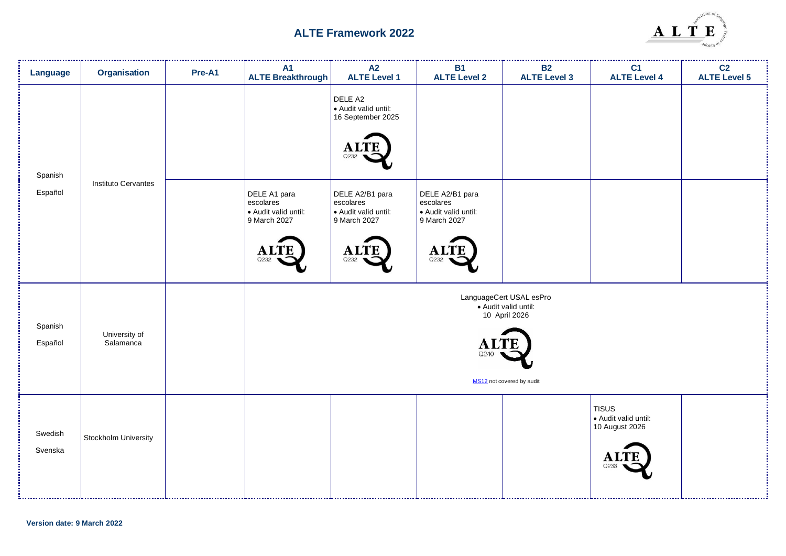

| Language           | <b>Organisation</b>        | Pre-A1 | A1<br><b>ALTE Breakthrough</b>                                                         | A2<br><b>ALTE Level 1</b>                                                                   | <b>B1</b><br><b>ALTE Level 2</b>                                                           | <b>B2</b><br><b>ALTE Level 3</b>                                                              | C <sub>1</sub><br><b>ALTE Level 4</b>                       | <br>C <sub>2</sub><br><b>ALTE Level 5</b> |
|--------------------|----------------------------|--------|----------------------------------------------------------------------------------------|---------------------------------------------------------------------------------------------|--------------------------------------------------------------------------------------------|-----------------------------------------------------------------------------------------------|-------------------------------------------------------------|-------------------------------------------|
| Spanish            | Instituto Cervantes        |        |                                                                                        | DELE A2<br>· Audit valid until:<br>16 September 2025<br>Q232                                |                                                                                            |                                                                                               |                                                             |                                           |
| Español            |                            |        | DELE A1 para<br>escolares<br>Audit valid until:<br>9 March 2027<br><b>ALTE</b><br>Q232 | DELE A2/B1 para<br>escolares<br>· Audit valid until:<br>9 March 2027<br><b>ALTI</b><br>Q232 | DELE A2/B1 para<br>escolares<br>· Audit valid until:<br>9 March 2027<br><b>ALT</b><br>Q232 |                                                                                               |                                                             |                                           |
| Spanish<br>Español | University of<br>Salamanca |        |                                                                                        |                                                                                             | A<br>Q240                                                                                  | LanguageCert USAL esPro<br>· Audit valid until:<br>10 April 2026<br>MS12 not covered by audit |                                                             |                                           |
| Swedish<br>Svenska | Stockholm University       |        |                                                                                        |                                                                                             |                                                                                            |                                                                                               | TISUS<br>Audit valid until:<br>10 August 2026<br>A.<br>Q233 |                                           |